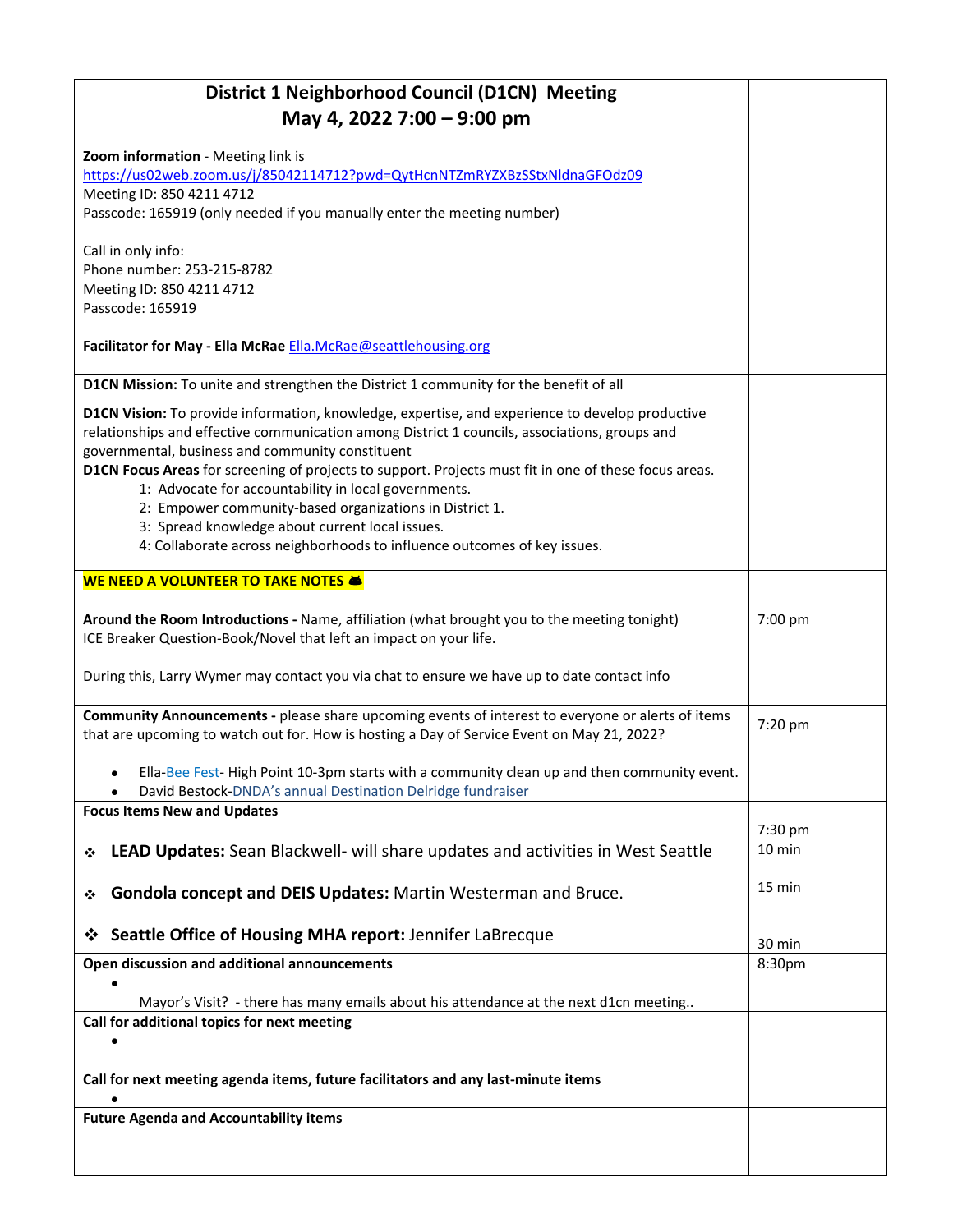| District 1 Neighborhood Council (D1CN) Meeting<br>May 4, 2022 7:00 - 9:00 pm                                                                                                                                                                                                                                                                                                                                                                                                                                                                                                                                    |                  |  |
|-----------------------------------------------------------------------------------------------------------------------------------------------------------------------------------------------------------------------------------------------------------------------------------------------------------------------------------------------------------------------------------------------------------------------------------------------------------------------------------------------------------------------------------------------------------------------------------------------------------------|------------------|--|
| Zoom information - Meeting link is                                                                                                                                                                                                                                                                                                                                                                                                                                                                                                                                                                              |                  |  |
| https://us02web.zoom.us/j/85042114712?pwd=QytHcnNTZmRYZXBzSStxNldnaGFOdz09                                                                                                                                                                                                                                                                                                                                                                                                                                                                                                                                      |                  |  |
| Meeting ID: 850 4211 4712<br>Passcode: 165919 (only needed if you manually enter the meeting number)                                                                                                                                                                                                                                                                                                                                                                                                                                                                                                            |                  |  |
| Call in only info:<br>Phone number: 253-215-8782<br>Meeting ID: 850 4211 4712<br>Passcode: 165919                                                                                                                                                                                                                                                                                                                                                                                                                                                                                                               |                  |  |
| Facilitator for May - Ella McRae Ella.McRae@seattlehousing.org                                                                                                                                                                                                                                                                                                                                                                                                                                                                                                                                                  |                  |  |
| D1CN Mission: To unite and strengthen the District 1 community for the benefit of all                                                                                                                                                                                                                                                                                                                                                                                                                                                                                                                           |                  |  |
| D1CN Vision: To provide information, knowledge, expertise, and experience to develop productive<br>relationships and effective communication among District 1 councils, associations, groups and<br>governmental, business and community constituent<br>D1CN Focus Areas for screening of projects to support. Projects must fit in one of these focus areas.<br>1: Advocate for accountability in local governments.<br>2: Empower community-based organizations in District 1.<br>3: Spread knowledge about current local issues.<br>4: Collaborate across neighborhoods to influence outcomes of key issues. |                  |  |
| <b>WE NEED A VOLUNTEER TO TAKE NOTES &amp;</b>                                                                                                                                                                                                                                                                                                                                                                                                                                                                                                                                                                  |                  |  |
| Around the Room Introductions - Name, affiliation (what brought you to the meeting tonight)<br>ICE Breaker Question-Book/Novel that left an impact on your life.                                                                                                                                                                                                                                                                                                                                                                                                                                                | 7:00 pm          |  |
| During this, Larry Wymer may contact you via chat to ensure we have up to date contact info                                                                                                                                                                                                                                                                                                                                                                                                                                                                                                                     |                  |  |
| Community Announcements - please share upcoming events of interest to everyone or alerts of items<br>that are upcoming to watch out for. How is hosting a Day of Service Event on May 21, 2022?                                                                                                                                                                                                                                                                                                                                                                                                                 | 7:20 pm          |  |
| Ella-Bee Fest-High Point 10-3pm starts with a community clean up and then community event.<br>David Bestock-DNDA's annual Destination Delridge fundraiser                                                                                                                                                                                                                                                                                                                                                                                                                                                       |                  |  |
| <b>Focus Items New and Updates</b>                                                                                                                                                                                                                                                                                                                                                                                                                                                                                                                                                                              | 7:30 pm          |  |
| LEAD Updates: Sean Blackwell- will share updates and activities in West Seattle<br>❖                                                                                                                                                                                                                                                                                                                                                                                                                                                                                                                            | 10 min           |  |
| Gondola concept and DEIS Updates: Martin Westerman and Bruce.<br>❖                                                                                                                                                                                                                                                                                                                                                                                                                                                                                                                                              | 15 min           |  |
| Seattle Office of Housing MHA report: Jennifer LaBrecque<br>❖                                                                                                                                                                                                                                                                                                                                                                                                                                                                                                                                                   | $30 \text{ min}$ |  |
| Open discussion and additional announcements                                                                                                                                                                                                                                                                                                                                                                                                                                                                                                                                                                    | 8:30pm           |  |
| Mayor's Visit? - there has many emails about his attendance at the next d1cn meeting                                                                                                                                                                                                                                                                                                                                                                                                                                                                                                                            |                  |  |
| Call for additional topics for next meeting                                                                                                                                                                                                                                                                                                                                                                                                                                                                                                                                                                     |                  |  |
|                                                                                                                                                                                                                                                                                                                                                                                                                                                                                                                                                                                                                 |                  |  |
| Call for next meeting agenda items, future facilitators and any last-minute items                                                                                                                                                                                                                                                                                                                                                                                                                                                                                                                               |                  |  |
| $\bullet$<br><b>Future Agenda and Accountability items</b>                                                                                                                                                                                                                                                                                                                                                                                                                                                                                                                                                      |                  |  |
|                                                                                                                                                                                                                                                                                                                                                                                                                                                                                                                                                                                                                 |                  |  |
|                                                                                                                                                                                                                                                                                                                                                                                                                                                                                                                                                                                                                 |                  |  |